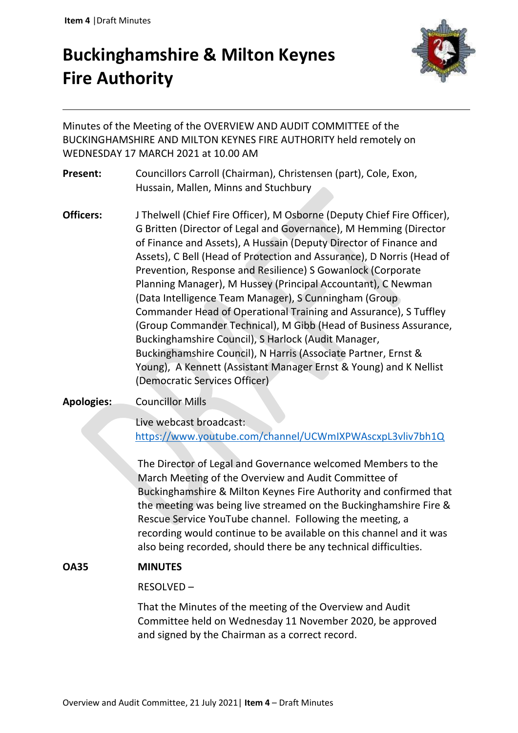# **Buckinghamshire & Milton Keynes Fire Authority**



Minutes of the Meeting of the OVERVIEW AND AUDIT COMMITTEE of the BUCKINGHAMSHIRE AND MILTON KEYNES FIRE AUTHORITY held remotely on WEDNESDAY 17 MARCH 2021 at 10.00 AM

- **Present:** Councillors Carroll (Chairman), Christensen (part), Cole, Exon, Hussain, Mallen, Minns and Stuchbury
- **Officers:** J Thelwell (Chief Fire Officer), M Osborne (Deputy Chief Fire Officer), G Britten (Director of Legal and Governance), M Hemming (Director of Finance and Assets), A Hussain (Deputy Director of Finance and Assets), C Bell (Head of Protection and Assurance), D Norris (Head of Prevention, Response and Resilience) S Gowanlock (Corporate Planning Manager), M Hussey (Principal Accountant), C Newman (Data Intelligence Team Manager), S Cunningham (Group Commander Head of Operational Training and Assurance), S Tuffley (Group Commander Technical), M Gibb (Head of Business Assurance, Buckinghamshire Council), S Harlock (Audit Manager, Buckinghamshire Council), N Harris (Associate Partner, Ernst & Young), A Kennett (Assistant Manager Ernst & Young) and K Nellist (Democratic Services Officer)

# **Apologies:** Councillor Mills

Live webcast broadcast: <https://www.youtube.com/channel/UCWmIXPWAscxpL3vliv7bh1Q>

The Director of Legal and Governance welcomed Members to the March Meeting of the Overview and Audit Committee of Buckinghamshire & Milton Keynes Fire Authority and confirmed that the meeting was being live streamed on the Buckinghamshire Fire & Rescue Service YouTube channel. Following the meeting, a recording would continue to be available on this channel and it was also being recorded, should there be any technical difficulties.

# **OA35 MINUTES**

RESOLVED –

That the Minutes of the meeting of the Overview and Audit Committee held on Wednesday 11 November 2020, be approved and signed by the Chairman as a correct record.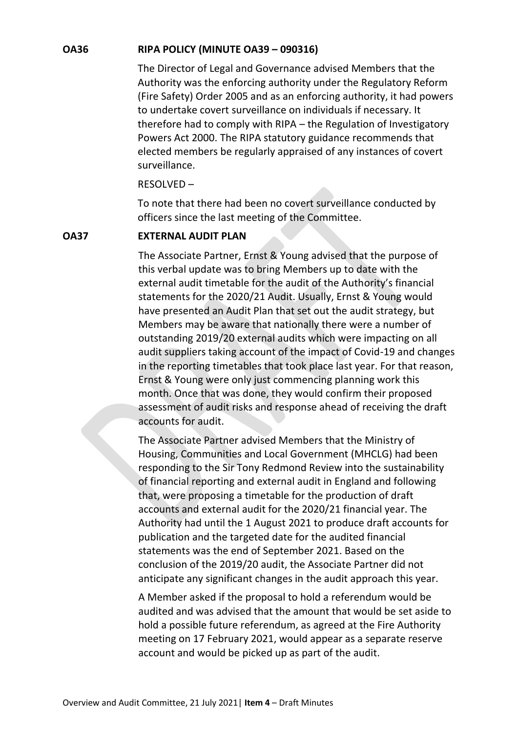# **OA36 RIPA POLICY (MINUTE OA39 – 090316)**

The Director of Legal and Governance advised Members that the Authority was the enforcing authority under the Regulatory Reform (Fire Safety) Order 2005 and as an enforcing authority, it had powers to undertake covert surveillance on individuals if necessary. It therefore had to comply with RIPA – the Regulation of Investigatory Powers Act 2000. The RIPA statutory guidance recommends that elected members be regularly appraised of any instances of covert surveillance.

# RESOLVED –

To note that there had been no covert surveillance conducted by officers since the last meeting of the Committee.

# **OA37 EXTERNAL AUDIT PLAN**

The Associate Partner, Ernst & Young advised that the purpose of this verbal update was to bring Members up to date with the external audit timetable for the audit of the Authority's financial statements for the 2020/21 Audit. Usually, Ernst & Young would have presented an Audit Plan that set out the audit strategy, but Members may be aware that nationally there were a number of outstanding 2019/20 external audits which were impacting on all audit suppliers taking account of the impact of Covid-19 and changes in the reporting timetables that took place last year. For that reason, Ernst & Young were only just commencing planning work this month. Once that was done, they would confirm their proposed assessment of audit risks and response ahead of receiving the draft accounts for audit.

The Associate Partner advised Members that the Ministry of Housing, Communities and Local Government (MHCLG) had been responding to the Sir Tony Redmond Review into the sustainability of financial reporting and external audit in England and following that, were proposing a timetable for the production of draft accounts and external audit for the 2020/21 financial year. The Authority had until the 1 August 2021 to produce draft accounts for publication and the targeted date for the audited financial statements was the end of September 2021. Based on the conclusion of the 2019/20 audit, the Associate Partner did not anticipate any significant changes in the audit approach this year.

A Member asked if the proposal to hold a referendum would be audited and was advised that the amount that would be set aside to hold a possible future referendum, as agreed at the Fire Authority meeting on 17 February 2021, would appear as a separate reserve account and would be picked up as part of the audit.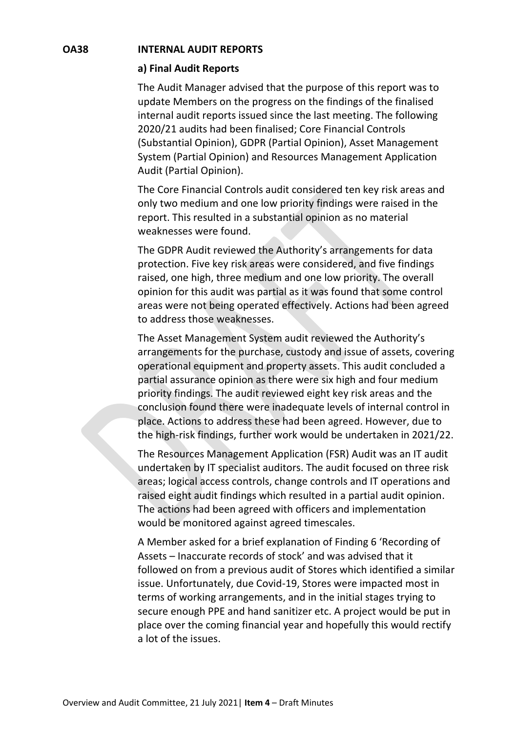# **OA38 INTERNAL AUDIT REPORTS**

# **a) Final Audit Reports**

The Audit Manager advised that the purpose of this report was to update Members on the progress on the findings of the finalised internal audit reports issued since the last meeting. The following 2020/21 audits had been finalised; Core Financial Controls (Substantial Opinion), GDPR (Partial Opinion), Asset Management System (Partial Opinion) and Resources Management Application Audit (Partial Opinion).

The Core Financial Controls audit considered ten key risk areas and only two medium and one low priority findings were raised in the report. This resulted in a substantial opinion as no material weaknesses were found.

The GDPR Audit reviewed the Authority's arrangements for data protection. Five key risk areas were considered, and five findings raised, one high, three medium and one low priority. The overall opinion for this audit was partial as it was found that some control areas were not being operated effectively. Actions had been agreed to address those weaknesses.

The Asset Management System audit reviewed the Authority's arrangements for the purchase, custody and issue of assets, covering operational equipment and property assets. This audit concluded a partial assurance opinion as there were six high and four medium priority findings. The audit reviewed eight key risk areas and the conclusion found there were inadequate levels of internal control in place. Actions to address these had been agreed. However, due to the high-risk findings, further work would be undertaken in 2021/22.

The Resources Management Application (FSR) Audit was an IT audit undertaken by IT specialist auditors. The audit focused on three risk areas; logical access controls, change controls and IT operations and raised eight audit findings which resulted in a partial audit opinion. The actions had been agreed with officers and implementation would be monitored against agreed timescales.

A Member asked for a brief explanation of Finding 6 'Recording of Assets – Inaccurate records of stock' and was advised that it followed on from a previous audit of Stores which identified a similar issue. Unfortunately, due Covid-19, Stores were impacted most in terms of working arrangements, and in the initial stages trying to secure enough PPE and hand sanitizer etc. A project would be put in place over the coming financial year and hopefully this would rectify a lot of the issues.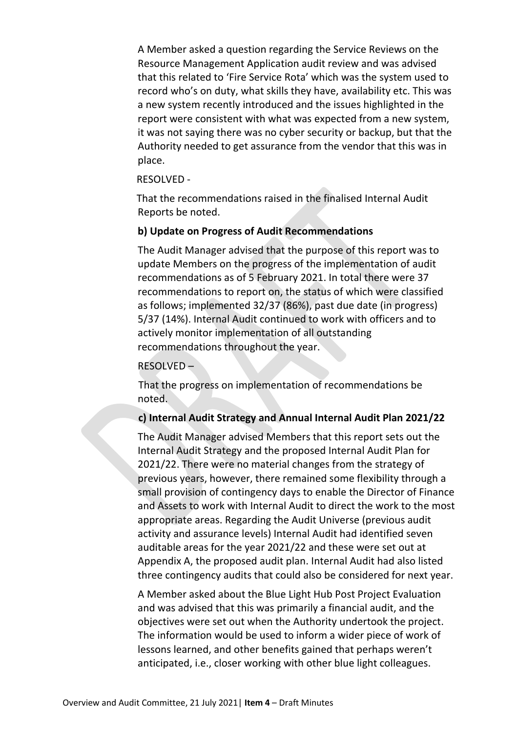A Member asked a question regarding the Service Reviews on the Resource Management Application audit review and was advised that this related to 'Fire Service Rota' which was the system used to record who's on duty, what skills they have, availability etc. This was a new system recently introduced and the issues highlighted in the report were consistent with what was expected from a new system, it was not saying there was no cyber security or backup, but that the Authority needed to get assurance from the vendor that this was in place.

RESOLVED -

That the recommendations raised in the finalised Internal Audit Reports be noted.

# **b) Update on Progress of Audit Recommendations**

The Audit Manager advised that the purpose of this report was to update Members on the progress of the implementation of audit recommendations as of 5 February 2021. In total there were 37 recommendations to report on, the status of which were classified as follows; implemented 32/37 (86%), past due date (in progress) 5/37 (14%). Internal Audit continued to work with officers and to actively monitor implementation of all outstanding recommendations throughout the year.

# RESOLVED –

That the progress on implementation of recommendations be noted.

# **c) Internal Audit Strategy and Annual Internal Audit Plan 2021/22**

The Audit Manager advised Members that this report sets out the Internal Audit Strategy and the proposed Internal Audit Plan for 2021/22. There were no material changes from the strategy of previous years, however, there remained some flexibility through a small provision of contingency days to enable the Director of Finance and Assets to work with Internal Audit to direct the work to the most appropriate areas. Regarding the Audit Universe (previous audit activity and assurance levels) Internal Audit had identified seven auditable areas for the year 2021/22 and these were set out at Appendix A, the proposed audit plan. Internal Audit had also listed three contingency audits that could also be considered for next year.

A Member asked about the Blue Light Hub Post Project Evaluation and was advised that this was primarily a financial audit, and the objectives were set out when the Authority undertook the project. The information would be used to inform a wider piece of work of lessons learned, and other benefits gained that perhaps weren't anticipated, i.e., closer working with other blue light colleagues.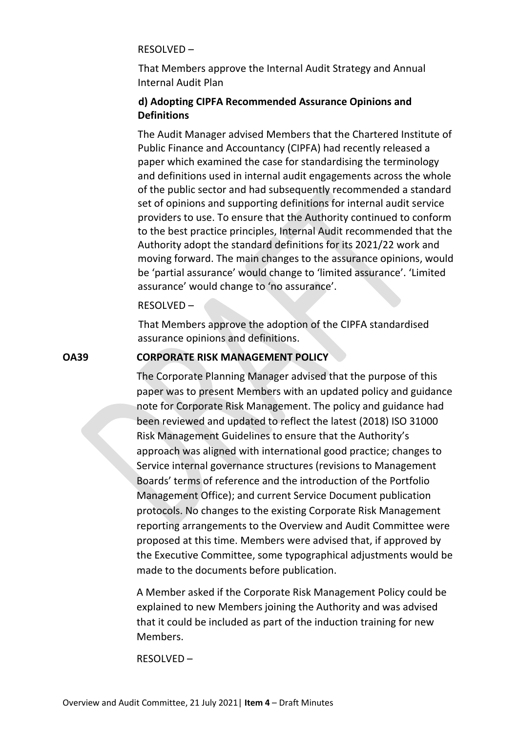RESOLVED –

That Members approve the Internal Audit Strategy and Annual Internal Audit Plan

# **d) Adopting CIPFA Recommended Assurance Opinions and Definitions**

The Audit Manager advised Members that the Chartered Institute of Public Finance and Accountancy (CIPFA) had recently released a paper which examined the case for standardising the terminology and definitions used in internal audit engagements across the whole of the public sector and had subsequently recommended a standard set of opinions and supporting definitions for internal audit service providers to use. To ensure that the Authority continued to conform to the best practice principles, Internal Audit recommended that the Authority adopt the standard definitions for its 2021/22 work and moving forward. The main changes to the assurance opinions, would be 'partial assurance' would change to 'limited assurance'. 'Limited assurance' would change to 'no assurance'.

# RESOLVED –

That Members approve the adoption of the CIPFA standardised assurance opinions and definitions.

# **OA39 CORPORATE RISK MANAGEMENT POLICY**

The Corporate Planning Manager advised that the purpose of this paper was to present Members with an updated policy and guidance note for Corporate Risk Management. The policy and guidance had been reviewed and updated to reflect the latest (2018) ISO 31000 Risk Management Guidelines to ensure that the Authority's approach was aligned with international good practice; changes to Service internal governance structures (revisions to Management Boards' terms of reference and the introduction of the Portfolio Management Office); and current Service Document publication protocols. No changes to the existing Corporate Risk Management reporting arrangements to the Overview and Audit Committee were proposed at this time. Members were advised that, if approved by the Executive Committee, some typographical adjustments would be made to the documents before publication.

A Member asked if the Corporate Risk Management Policy could be explained to new Members joining the Authority and was advised that it could be included as part of the induction training for new Members.

RESOLVED –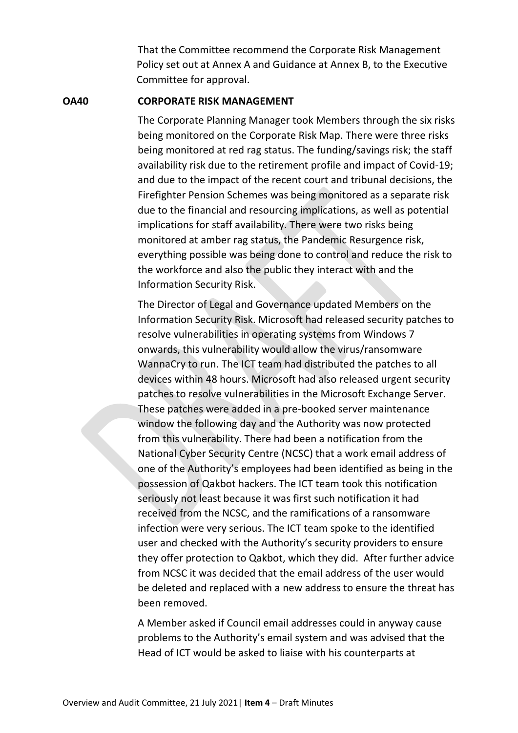That the Committee recommend the Corporate Risk Management Policy set out at Annex A and Guidance at Annex B, to the Executive Committee for approval.

# **OA40 CORPORATE RISK MANAGEMENT**

The Corporate Planning Manager took Members through the six risks being monitored on the Corporate Risk Map. There were three risks being monitored at red rag status. The funding/savings risk; the staff availability risk due to the retirement profile and impact of Covid-19; and due to the impact of the recent court and tribunal decisions, the Firefighter Pension Schemes was being monitored as a separate risk due to the financial and resourcing implications, as well as potential implications for staff availability. There were two risks being monitored at amber rag status, the Pandemic Resurgence risk, everything possible was being done to control and reduce the risk to the workforce and also the public they interact with and the Information Security Risk.

The Director of Legal and Governance updated Members on the Information Security Risk. Microsoft had released security patches to resolve vulnerabilities in operating systems from Windows 7 onwards, this vulnerability would allow the virus/ransomware WannaCry to run. The ICT team had distributed the patches to all devices within 48 hours. Microsoft had also released urgent security patches to resolve vulnerabilities in the Microsoft Exchange Server. These patches were added in a pre-booked server maintenance window the following day and the Authority was now protected from this vulnerability. There had been a notification from the National Cyber Security Centre (NCSC) that a work email address of one of the Authority's employees had been identified as being in the possession of Qakbot hackers. The ICT team took this notification seriously not least because it was first such notification it had received from the NCSC, and the ramifications of a ransomware infection were very serious. The ICT team spoke to the identified user and checked with the Authority's security providers to ensure they offer protection to Qakbot, which they did. After further advice from NCSC it was decided that the email address of the user would be deleted and replaced with a new address to ensure the threat has been removed.

A Member asked if Council email addresses could in anyway cause problems to the Authority's email system and was advised that the Head of ICT would be asked to liaise with his counterparts at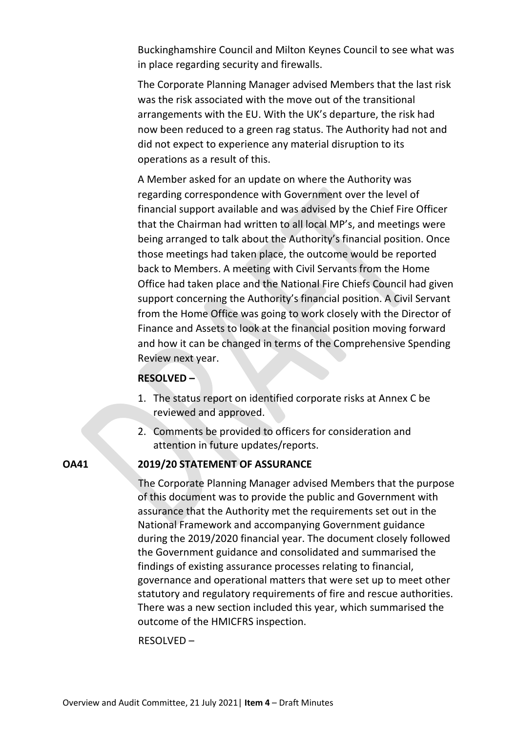Buckinghamshire Council and Milton Keynes Council to see what was in place regarding security and firewalls.

The Corporate Planning Manager advised Members that the last risk was the risk associated with the move out of the transitional arrangements with the EU. With the UK's departure, the risk had now been reduced to a green rag status. The Authority had not and did not expect to experience any material disruption to its operations as a result of this.

A Member asked for an update on where the Authority was regarding correspondence with Government over the level of financial support available and was advised by the Chief Fire Officer that the Chairman had written to all local MP's, and meetings were being arranged to talk about the Authority's financial position. Once those meetings had taken place, the outcome would be reported back to Members. A meeting with Civil Servants from the Home Office had taken place and the National Fire Chiefs Council had given support concerning the Authority's financial position. A Civil Servant from the Home Office was going to work closely with the Director of Finance and Assets to look at the financial position moving forward and how it can be changed in terms of the Comprehensive Spending Review next year.

### **RESOLVED –**

- 1. The status report on identified corporate risks at Annex C be reviewed and approved.
- 2. Comments be provided to officers for consideration and attention in future updates/reports.

## **OA41 2019/20 STATEMENT OF ASSURANCE**

The Corporate Planning Manager advised Members that the purpose of this document was to provide the public and Government with assurance that the Authority met the requirements set out in the National Framework and accompanying Government guidance during the 2019/2020 financial year. The document closely followed the Government guidance and consolidated and summarised the findings of existing assurance processes relating to financial, governance and operational matters that were set up to meet other statutory and regulatory requirements of fire and rescue authorities. There was a new section included this year, which summarised the outcome of the HMICFRS inspection.

RESOLVED –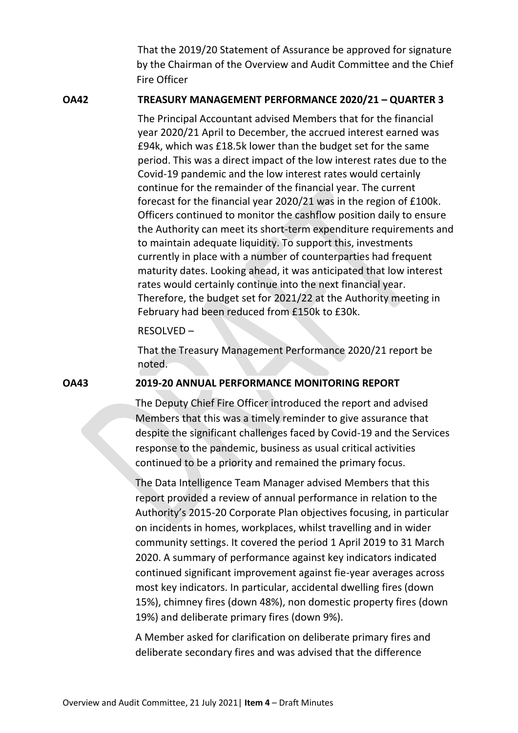That the 2019/20 Statement of Assurance be approved for signature by the Chairman of the Overview and Audit Committee and the Chief Fire Officer

# **OA42 TREASURY MANAGEMENT PERFORMANCE 2020/21 – QUARTER 3**

The Principal Accountant advised Members that for the financial year 2020/21 April to December, the accrued interest earned was £94k, which was £18.5k lower than the budget set for the same period. This was a direct impact of the low interest rates due to the Covid-19 pandemic and the low interest rates would certainly continue for the remainder of the financial year. The current forecast for the financial year 2020/21 was in the region of £100k. Officers continued to monitor the cashflow position daily to ensure the Authority can meet its short-term expenditure requirements and to maintain adequate liquidity. To support this, investments currently in place with a number of counterparties had frequent maturity dates. Looking ahead, it was anticipated that low interest rates would certainly continue into the next financial year. Therefore, the budget set for 2021/22 at the Authority meeting in February had been reduced from £150k to £30k.

### RESOLVED –

That the Treasury Management Performance 2020/21 report be noted.

# **OA43 2019-20 ANNUAL PERFORMANCE MONITORING REPORT**

The Deputy Chief Fire Officer introduced the report and advised Members that this was a timely reminder to give assurance that despite the significant challenges faced by Covid-19 and the Services response to the pandemic, business as usual critical activities continued to be a priority and remained the primary focus.

The Data Intelligence Team Manager advised Members that this report provided a review of annual performance in relation to the Authority's 2015-20 Corporate Plan objectives focusing, in particular on incidents in homes, workplaces, whilst travelling and in wider community settings. It covered the period 1 April 2019 to 31 March 2020. A summary of performance against key indicators indicated continued significant improvement against fie-year averages across most key indicators. In particular, accidental dwelling fires (down 15%), chimney fires (down 48%), non domestic property fires (down 19%) and deliberate primary fires (down 9%).

A Member asked for clarification on deliberate primary fires and deliberate secondary fires and was advised that the difference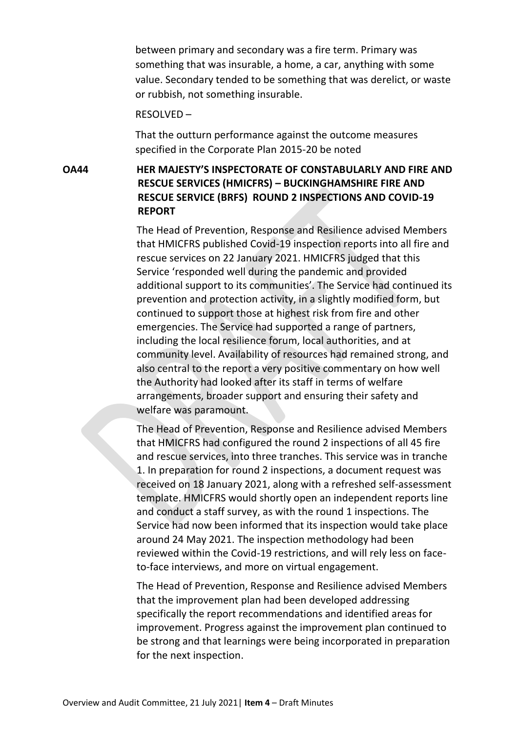between primary and secondary was a fire term. Primary was something that was insurable, a home, a car, anything with some value. Secondary tended to be something that was derelict, or waste or rubbish, not something insurable.

### RESOLVED –

That the outturn performance against the outcome measures specified in the Corporate Plan 2015-20 be noted

**OA44 HER MAJESTY'S INSPECTORATE OF CONSTABULARLY AND FIRE AND RESCUE SERVICES (HMICFRS) – BUCKINGHAMSHIRE FIRE AND RESCUE SERVICE (BRFS) ROUND 2 INSPECTIONS AND COVID-19 REPORT**

> The Head of Prevention, Response and Resilience advised Members that HMICFRS published Covid-19 inspection reports into all fire and rescue services on 22 January 2021. HMICFRS judged that this Service 'responded well during the pandemic and provided additional support to its communities'. The Service had continued its prevention and protection activity, in a slightly modified form, but continued to support those at highest risk from fire and other emergencies. The Service had supported a range of partners, including the local resilience forum, local authorities, and at community level. Availability of resources had remained strong, and also central to the report a very positive commentary on how well the Authority had looked after its staff in terms of welfare arrangements, broader support and ensuring their safety and welfare was paramount.

> The Head of Prevention, Response and Resilience advised Members that HMICFRS had configured the round 2 inspections of all 45 fire and rescue services, into three tranches. This service was in tranche 1. In preparation for round 2 inspections, a document request was received on 18 January 2021, along with a refreshed self-assessment template. HMICFRS would shortly open an independent reports line and conduct a staff survey, as with the round 1 inspections. The Service had now been informed that its inspection would take place around 24 May 2021. The inspection methodology had been reviewed within the Covid-19 restrictions, and will rely less on faceto-face interviews, and more on virtual engagement.

> The Head of Prevention, Response and Resilience advised Members that the improvement plan had been developed addressing specifically the report recommendations and identified areas for improvement. Progress against the improvement plan continued to be strong and that learnings were being incorporated in preparation for the next inspection.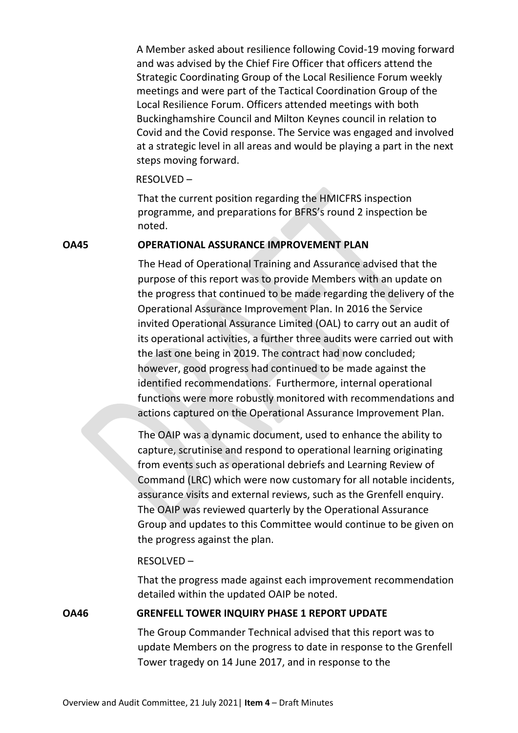A Member asked about resilience following Covid-19 moving forward and was advised by the Chief Fire Officer that officers attend the Strategic Coordinating Group of the Local Resilience Forum weekly meetings and were part of the Tactical Coordination Group of the Local Resilience Forum. Officers attended meetings with both Buckinghamshire Council and Milton Keynes council in relation to Covid and the Covid response. The Service was engaged and involved at a strategic level in all areas and would be playing a part in the next steps moving forward.

# RESOLVED –

That the current position regarding the HMICFRS inspection programme, and preparations for BFRS's round 2 inspection be noted.

# **OA45 OPERATIONAL ASSURANCE IMPROVEMENT PLAN**

The Head of Operational Training and Assurance advised that the purpose of this report was to provide Members with an update on the progress that continued to be made regarding the delivery of the Operational Assurance Improvement Plan. In 2016 the Service invited Operational Assurance Limited (OAL) to carry out an audit of its operational activities, a further three audits were carried out with the last one being in 2019. The contract had now concluded; however, good progress had continued to be made against the identified recommendations. Furthermore, internal operational functions were more robustly monitored with recommendations and actions captured on the Operational Assurance Improvement Plan.

The OAIP was a dynamic document, used to enhance the ability to capture, scrutinise and respond to operational learning originating from events such as operational debriefs and Learning Review of Command (LRC) which were now customary for all notable incidents, assurance visits and external reviews, such as the Grenfell enquiry. The OAIP was reviewed quarterly by the Operational Assurance Group and updates to this Committee would continue to be given on the progress against the plan.

# RESOLVED –

That the progress made against each improvement recommendation detailed within the updated OAIP be noted.

# **OA46 GRENFELL TOWER INQUIRY PHASE 1 REPORT UPDATE**

The Group Commander Technical advised that this report was to update Members on the progress to date in response to the Grenfell Tower tragedy on 14 June 2017, and in response to the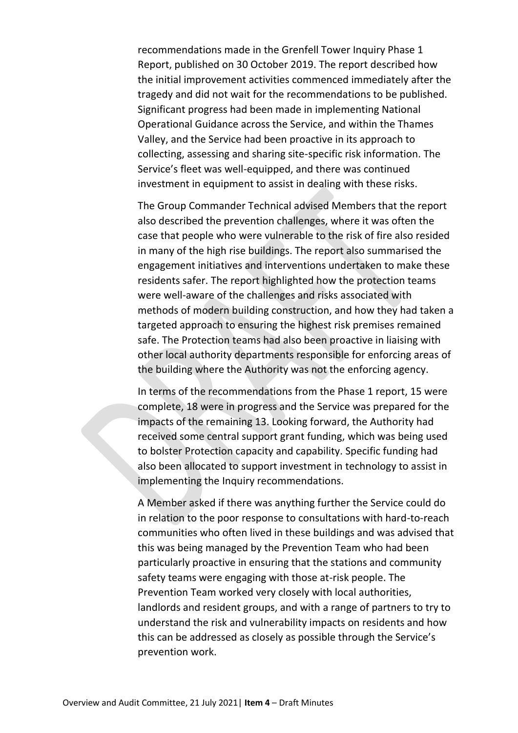recommendations made in the Grenfell Tower Inquiry Phase 1 Report, published on 30 October 2019. The report described how the initial improvement activities commenced immediately after the tragedy and did not wait for the recommendations to be published. Significant progress had been made in implementing National Operational Guidance across the Service, and within the Thames Valley, and the Service had been proactive in its approach to collecting, assessing and sharing site-specific risk information. The Service's fleet was well-equipped, and there was continued investment in equipment to assist in dealing with these risks.

The Group Commander Technical advised Members that the report also described the prevention challenges, where it was often the case that people who were vulnerable to the risk of fire also resided in many of the high rise buildings. The report also summarised the engagement initiatives and interventions undertaken to make these residents safer. The report highlighted how the protection teams were well-aware of the challenges and risks associated with methods of modern building construction, and how they had taken a targeted approach to ensuring the highest risk premises remained safe. The Protection teams had also been proactive in liaising with other local authority departments responsible for enforcing areas of the building where the Authority was not the enforcing agency.

In terms of the recommendations from the Phase 1 report, 15 were complete, 18 were in progress and the Service was prepared for the impacts of the remaining 13. Looking forward, the Authority had received some central support grant funding, which was being used to bolster Protection capacity and capability. Specific funding had also been allocated to support investment in technology to assist in implementing the Inquiry recommendations.

A Member asked if there was anything further the Service could do in relation to the poor response to consultations with hard-to-reach communities who often lived in these buildings and was advised that this was being managed by the Prevention Team who had been particularly proactive in ensuring that the stations and community safety teams were engaging with those at-risk people. The Prevention Team worked very closely with local authorities, landlords and resident groups, and with a range of partners to try to understand the risk and vulnerability impacts on residents and how this can be addressed as closely as possible through the Service's prevention work.